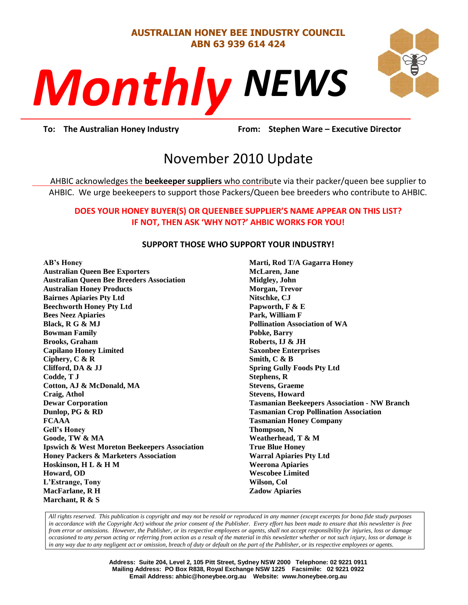## **AUSTRALIAN HONEY BEE INDUSTRY COUNCIL ABN 63 939 614 424**





**Prom:** Stephen **To: The Australian Honey Industry From: Stephen Ware – Executive Director**

# November 2010 Update

AHBIC acknowledges the **beekeeper suppliers** who contribute via their packer/queen bee supplier to AHBIC. We urge beekeepers to support those Packers/Queen bee breeders who contribute to AHBIC.

### **DOES YOUR HONEY BUYER(S) OR QUEENBEE SUPPLIER'S NAME APPEAR ON THIS LIST? IF NOT, THEN ASK 'WHY NOT?' AHBIC WORKS FOR YOU!**

#### **SUPPORT THOSE WHO SUPPORT YOUR INDUSTRY!**

**AB's Honey**

**Australian Queen Bee Exporters Australian Queen Bee Breeders Association Australian Honey Products Bairnes Apiaries Pty Ltd Beechworth Honey Pty Ltd Bees Neez Apiaries Black, R G & MJ Bowman Family Brooks, Graham Capilano Honey Limited Ciphery, C & R Clifford, DA & JJ Codde, T J Cotton, AJ & McDonald, MA Craig, Athol Dewar Corporation Dunlop, PG & RD FCAAA Gell's Honey Goode, TW & MA Ipswich & West Moreton Beekeepers Association Honey Packers & Marketers Association Hoskinson, H L & H M Howard, OD L'Estrange, Tony MacFarlane, R H Marchant, R & S**

**Marti, Rod T/A Gagarra Honey McLaren, Jane Midgley, John Morgan, Trevor Nitschke, CJ Papworth, F & E Park, William F Pollination Association of WA Pobke, Barry Roberts, IJ & JH Saxonbee Enterprises Smith, C & B Spring Gully Foods Pty Ltd Stephens, R Stevens, Graeme Stevens, Howard Tasmanian Beekeepers Association - NW Branch Tasmanian Crop Pollination Association Tasmanian Honey Company Thompson, N Weatherhead, T & M True Blue Honey Warral Apiaries Pty Ltd Weerona Apiaries Wescobee Limited Wilson, Col Zadow Apiaries**

*All rights reserved. This publication is copyright and may not be resold or reproduced in any manner (except excerpts for bona fide study purposes in accordance with the Copyright Act) without the prior consent of the Publisher. Every effort has been made to ensure that this newsletter is free from error or omissions. However, the Publisher, or its respective employees or agents, shall not accept responsibility for injuries, loss or damage occasioned to any person acting or referring from action as a result of the material in this newsletter whether or not such injury, loss or damage is in any way due to any negligent act or omission, breach of duty or default on the part of the Publisher, or its respective employees or agents.*

> **Address: Suite 204, Level 2, 105 Pitt Street, Sydney NSW 2000 Telephone: 02 9221 0911 Mailing Address: PO Box R838, Royal Exchange NSW 1225 Facsimile: 02 9221 0922 Email Address: ahbic@honeybee.org.au Website: www.honeybee.org.au**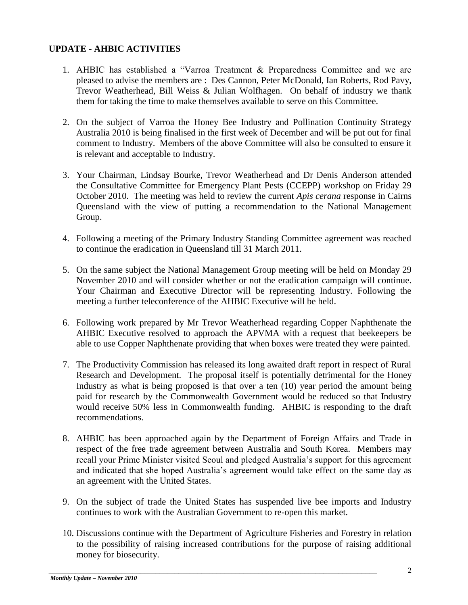## **UPDATE - AHBIC ACTIVITIES**

- 1. AHBIC has established a "Varroa Treatment & Preparedness Committee and we are pleased to advise the members are : Des Cannon, Peter McDonald, Ian Roberts, Rod Pavy, Trevor Weatherhead, Bill Weiss & Julian Wolfhagen. On behalf of industry we thank them for taking the time to make themselves available to serve on this Committee.
- 2. On the subject of Varroa the Honey Bee Industry and Pollination Continuity Strategy Australia 2010 is being finalised in the first week of December and will be put out for final comment to Industry. Members of the above Committee will also be consulted to ensure it is relevant and acceptable to Industry.
- 3. Your Chairman, Lindsay Bourke, Trevor Weatherhead and Dr Denis Anderson attended the Consultative Committee for Emergency Plant Pests (CCEPP) workshop on Friday 29 October 2010. The meeting was held to review the current *Apis cerana* response in Cairns Queensland with the view of putting a recommendation to the National Management Group.
- 4. Following a meeting of the Primary Industry Standing Committee agreement was reached to continue the eradication in Queensland till 31 March 2011.
- 5. On the same subject the National Management Group meeting will be held on Monday 29 November 2010 and will consider whether or not the eradication campaign will continue. Your Chairman and Executive Director will be representing Industry. Following the meeting a further teleconference of the AHBIC Executive will be held.
- 6. Following work prepared by Mr Trevor Weatherhead regarding Copper Naphthenate the AHBIC Executive resolved to approach the APVMA with a request that beekeepers be able to use Copper Naphthenate providing that when boxes were treated they were painted.
- 7. The Productivity Commission has released its long awaited draft report in respect of Rural Research and Development. The proposal itself is potentially detrimental for the Honey Industry as what is being proposed is that over a ten (10) year period the amount being paid for research by the Commonwealth Government would be reduced so that Industry would receive 50% less in Commonwealth funding. AHBIC is responding to the draft recommendations.
- 8. AHBIC has been approached again by the Department of Foreign Affairs and Trade in respect of the free trade agreement between Australia and South Korea. Members may recall your Prime Minister visited Seoul and pledged Australia"s support for this agreement and indicated that she hoped Australia"s agreement would take effect on the same day as an agreement with the United States.
- 9. On the subject of trade the United States has suspended live bee imports and Industry continues to work with the Australian Government to re-open this market.
- 10. Discussions continue with the Department of Agriculture Fisheries and Forestry in relation to the possibility of raising increased contributions for the purpose of raising additional money for biosecurity.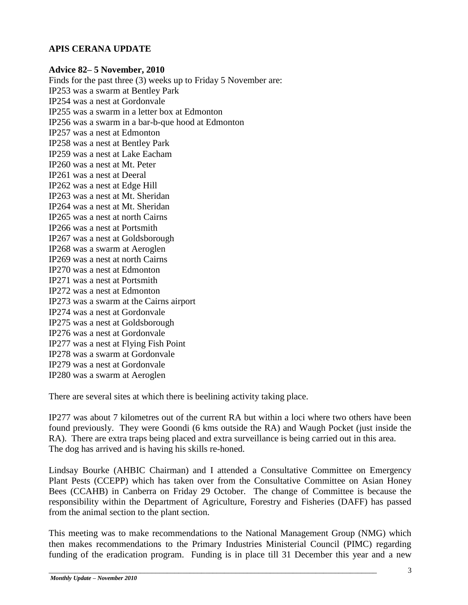## **APIS CERANA UPDATE**

#### **Advice 82– 5 November, 2010**

Finds for the past three (3) weeks up to Friday 5 November are: IP253 was a swarm at Bentley Park IP254 was a nest at Gordonvale IP255 was a swarm in a letter box at Edmonton IP256 was a swarm in a bar-b-que hood at Edmonton IP257 was a nest at Edmonton IP258 was a nest at Bentley Park IP259 was a nest at Lake Eacham IP260 was a nest at Mt. Peter IP261 was a nest at Deeral IP262 was a nest at Edge Hill IP263 was a nest at Mt. Sheridan IP264 was a nest at Mt. Sheridan IP265 was a nest at north Cairns IP266 was a nest at Portsmith IP267 was a nest at Goldsborough IP268 was a swarm at Aeroglen IP269 was a nest at north Cairns IP270 was a nest at Edmonton IP271 was a nest at Portsmith IP272 was a nest at Edmonton IP273 was a swarm at the Cairns airport IP274 was a nest at Gordonvale IP275 was a nest at Goldsborough IP276 was a nest at Gordonvale IP277 was a nest at Flying Fish Point IP278 was a swarm at Gordonvale IP279 was a nest at Gordonvale IP280 was a swarm at Aeroglen

There are several sites at which there is beelining activity taking place.

IP277 was about 7 kilometres out of the current RA but within a loci where two others have been found previously. They were Goondi (6 kms outside the RA) and Waugh Pocket (just inside the RA). There are extra traps being placed and extra surveillance is being carried out in this area. The dog has arrived and is having his skills re-honed.

Lindsay Bourke (AHBIC Chairman) and I attended a Consultative Committee on Emergency Plant Pests (CCEPP) which has taken over from the Consultative Committee on Asian Honey Bees (CCAHB) in Canberra on Friday 29 October. The change of Committee is because the responsibility within the Department of Agriculture, Forestry and Fisheries (DAFF) has passed from the animal section to the plant section.

This meeting was to make recommendations to the National Management Group (NMG) which then makes recommendations to the Primary Industries Ministerial Council (PIMC) regarding funding of the eradication program. Funding is in place till 31 December this year and a new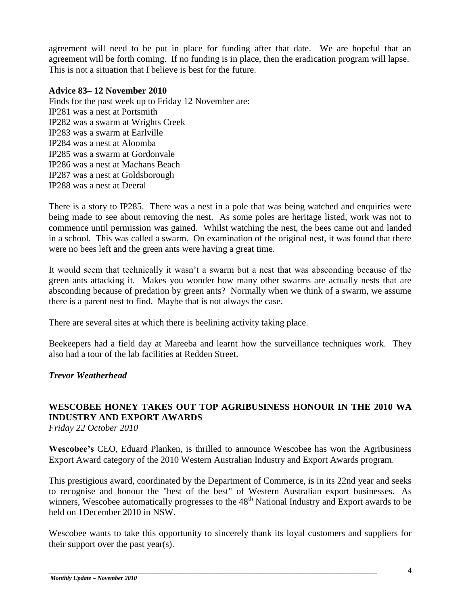agreement will need to be put in place for funding after that date. We are hopeful that an agreement will be forth coming. If no funding is in place, then the eradication program will lapse. This is not a situation that I believe is best for the future.

#### **Advice 83– 12 November 2010**

Finds for the past week up to Friday 12 November are: IP281 was a nest at Portsmith IP282 was a swarm at Wrights Creek IP283 was a swarm at Earlville IP284 was a nest at Aloomba IP285 was a swarm at Gordonvale IP286 was a nest at Machans Beach IP287 was a nest at Goldsborough IP288 was a nest at Deeral

There is a story to IP285. There was a nest in a pole that was being watched and enquiries were being made to see about removing the nest. As some poles are heritage listed, work was not to commence until permission was gained. Whilst watching the nest, the bees came out and landed in a school. This was called a swarm. On examination of the original nest, it was found that there were no bees left and the green ants were having a great time.

It would seem that technically it wasn"t a swarm but a nest that was absconding because of the green ants attacking it. Makes you wonder how many other swarms are actually nests that are absconding because of predation by green ants? Normally when we think of a swarm, we assume there is a parent nest to find. Maybe that is not always the case.

There are several sites at which there is beelining activity taking place.

Beekeepers had a field day at Mareeba and learnt how the surveillance techniques work. They also had a tour of the lab facilities at Redden Street.

## *Trevor Weatherhead*

## **WESCOBEE HONEY TAKES OUT TOP AGRIBUSINESS HONOUR IN THE 2010 WA INDUSTRY AND EXPORT AWARDS**

*Friday 22 October 2010* 

**Wescobee's** CEO, Eduard Planken, is thrilled to announce Wescobee has won the Agribusiness Export Award category of the 2010 Western Australian Industry and Export Awards program.

This prestigious award, coordinated by the Department of Commerce, is in its 22nd year and seeks to recognise and honour the "best of the best" of Western Australian export businesses. As winners, Wescobee automatically progresses to the 48<sup>th</sup> National Industry and Export awards to be held on 1December 2010 in NSW.

Wescobee wants to take this opportunity to sincerely thank its loyal customers and suppliers for their support over the past year(s).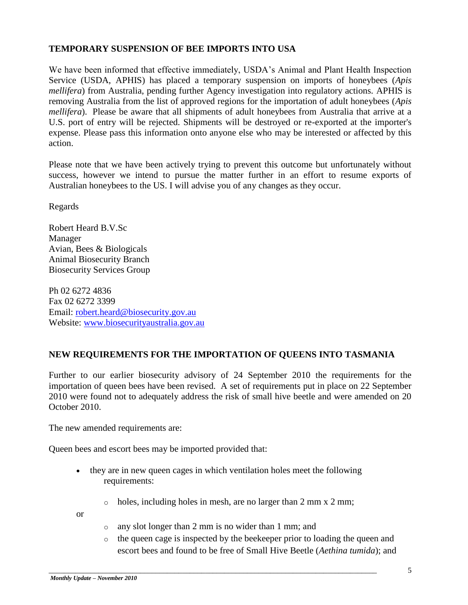## **TEMPORARY SUSPENSION OF BEE IMPORTS INTO USA**

We have been informed that effective immediately, USDA"s Animal and Plant Health Inspection Service (USDA, APHIS) has placed a temporary suspension on imports of honeybees (*Apis mellifera*) from Australia, pending further Agency investigation into regulatory actions. APHIS is removing Australia from the list of approved regions for the importation of adult honeybees (*Apis mellifera*). Please be aware that all shipments of adult honeybees from Australia that arrive at a U.S. port of entry will be rejected. Shipments will be destroyed or re-exported at the importer's expense. Please pass this information onto anyone else who may be interested or affected by this action.

Please note that we have been actively trying to prevent this outcome but unfortunately without success, however we intend to pursue the matter further in an effort to resume exports of Australian honeybees to the US. I will advise you of any changes as they occur.

Regards

Robert Heard B.V.Sc Manager Avian, Bees & Biologicals Animal Biosecurity Branch Biosecurity Services Group

Ph 02 6272 4836 Fax 02 6272 3399 Email: [robert.heard@biosecurity.gov.au](mailto:robert.heard@biosecurity.gov.au) Website: [www.biosecurityaustralia.gov.au](http://www.biosecurityaustralia.gov.au/)

## **NEW REQUIREMENTS FOR THE IMPORTATION OF QUEENS INTO TASMANIA**

Further to our earlier biosecurity advisory of 24 September 2010 the requirements for the importation of queen bees have been revised. A set of requirements put in place on 22 September 2010 were found not to adequately address the risk of small hive beetle and were amended on 20 October 2010.

The new amended requirements are:

Queen bees and escort bees may be imported provided that:

- they are in new queen cages in which ventilation holes meet the following requirements:
	- $\circ$  holes, including holes in mesh, are no larger than 2 mm x 2 mm;

or

o any slot longer than 2 mm is no wider than 1 mm; and

\_\_\_\_\_\_\_\_\_\_\_\_\_\_\_\_\_\_\_\_\_\_\_\_\_\_\_\_\_\_\_\_\_\_\_\_\_\_\_\_\_\_\_\_\_\_\_\_\_\_\_\_\_\_\_\_\_\_\_\_\_\_\_\_\_\_\_\_\_\_\_\_\_\_\_\_\_\_\_\_\_\_\_\_\_\_

o the queen cage is inspected by the beekeeper prior to loading the queen and escort bees and found to be free of Small Hive Beetle (*Aethina tumida*); and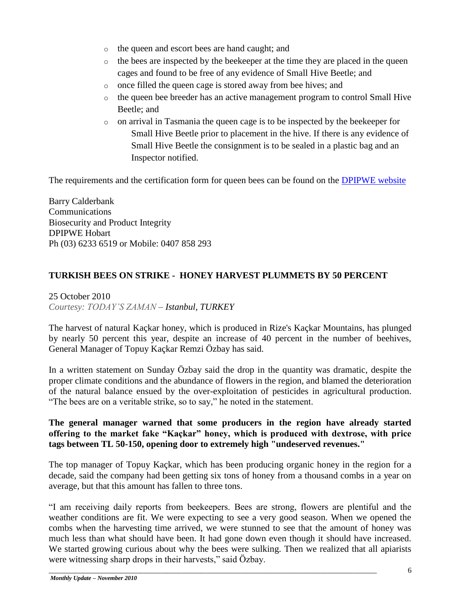- o the queen and escort bees are hand caught; and
- o the bees are inspected by the beekeeper at the time they are placed in the queen cages and found to be free of any evidence of Small Hive Beetle; and
- o once filled the queen cage is stored away from bee hives; and
- o the queen bee breeder has an active management program to control Small Hive Beetle; and
- o on arrival in Tasmania the queen cage is to be inspected by the beekeeper for Small Hive Beetle prior to placement in the hive. If there is any evidence of Small Hive Beetle the consignment is to be sealed in a plastic bag and an Inspector notified.

The requirements and the certification form for queen bees can be found on the [DPIPWE website](http://www.dpiw.tas.gov.au/inter.nsf/Attachments/MCAS-89H59T?open)

Barry Calderbank Communications Biosecurity and Product Integrity DPIPWE Hobart Ph (03) 6233 6519 or Mobile: 0407 858 293

## **TURKISH BEES ON STRIKE - HONEY HARVEST PLUMMETS BY 50 PERCENT**

25 October 2010 *Courtesy: TODAY'S ZAMAN – Istanbul, TURKEY*

The harvest of natural Kaçkar honey, which is produced in Rize's Kaçkar Mountains, has plunged by nearly 50 percent this year, despite an increase of 40 percent in the number of beehives, General Manager of Topuy Kaçkar Remzi Özbay has said.

In a written statement on Sunday Özbay said the drop in the quantity was dramatic, despite the proper climate conditions and the abundance of flowers in the region, and blamed the deterioration of the natural balance ensued by the over-exploitation of pesticides in agricultural production. "The bees are on a veritable strike, so to say," he noted in the statement.

### **The general manager warned that some producers in the region have already started offering to the market fake "Kaçkar" honey, which is produced with dextrose, with price tags between TL 50-150, opening door to extremely high "undeserved revenues."**

The top manager of Topuy Kaçkar, which has been producing organic honey in the region for a decade, said the company had been getting six tons of honey from a thousand combs in a year on average, but that this amount has fallen to three tons.

"I am receiving daily reports from beekeepers. Bees are strong, flowers are plentiful and the weather conditions are fit. We were expecting to see a very good season. When we opened the combs when the harvesting time arrived, we were stunned to see that the amount of honey was much less than what should have been. It had gone down even though it should have increased. We started growing curious about why the bees were sulking. Then we realized that all apiarists were witnessing sharp drops in their harvests," said Özbay.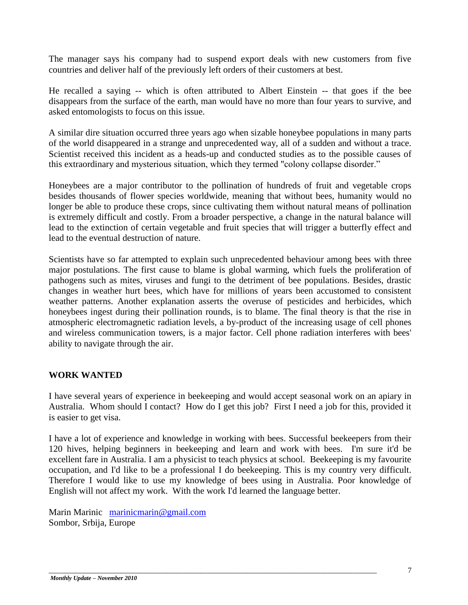The manager says his company had to suspend export deals with new customers from five countries and deliver half of the previously left orders of their customers at best.

He recalled a saying -- which is often attributed to Albert Einstein -- that goes if the bee disappears from the surface of the earth, man would have no more than four years to survive, and asked entomologists to focus on this issue.

A similar dire situation occurred three years ago when sizable honeybee populations in many parts of the world disappeared in a strange and unprecedented way, all of a sudden and without a trace. Scientist received this incident as a heads-up and conducted studies as to the possible causes of this extraordinary and mysterious situation, which they termed "colony collapse disorder."

Honeybees are a major contributor to the pollination of hundreds of fruit and vegetable crops besides thousands of flower species worldwide, meaning that without bees, humanity would no longer be able to produce these crops, since cultivating them without natural means of pollination is extremely difficult and costly. From a broader perspective, a change in the natural balance will lead to the extinction of certain vegetable and fruit species that will trigger a butterfly effect and lead to the eventual destruction of nature.

Scientists have so far attempted to explain such unprecedented behaviour among bees with three major postulations. The first cause to blame is global warming, which fuels the proliferation of pathogens such as mites, viruses and fungi to the detriment of bee populations. Besides, drastic changes in weather hurt bees, which have for millions of years been accustomed to consistent weather patterns. Another explanation asserts the overuse of pesticides and herbicides, which honeybees ingest during their pollination rounds, is to blame. The final theory is that the rise in atmospheric electromagnetic radiation levels, a by-product of the increasing usage of cell phones and wireless communication towers, is a major factor. Cell phone radiation interferes with bees' ability to navigate through the air.

## **WORK WANTED**

I have several years of experience in beekeeping and would accept seasonal work on an apiary in Australia. Whom should I contact? How do I get this job? First I need a job for this, provided it is easier to get visa.

I have a lot of experience and knowledge in working with bees. Successful beekeepers from their 120 hives, helping beginners in beekeeping and learn and work with bees. I'm sure it'd be excellent fare in Australia. I am a physicist to teach physics at school. Beekeeping is my favourite occupation, and I'd like to be a professional I do beekeeping. This is my country very difficult. Therefore I would like to use my knowledge of bees using in Australia. Poor knowledge of English will not affect my work. With the work I'd learned the language better.

\_\_\_\_\_\_\_\_\_\_\_\_\_\_\_\_\_\_\_\_\_\_\_\_\_\_\_\_\_\_\_\_\_\_\_\_\_\_\_\_\_\_\_\_\_\_\_\_\_\_\_\_\_\_\_\_\_\_\_\_\_\_\_\_\_\_\_\_\_\_\_\_\_\_\_\_\_\_\_\_\_\_\_\_\_\_

Marin Marinic [marinicmarin@gmail.com](mailto:marinicmarin@gmail.com) Sombor, Srbija, Europe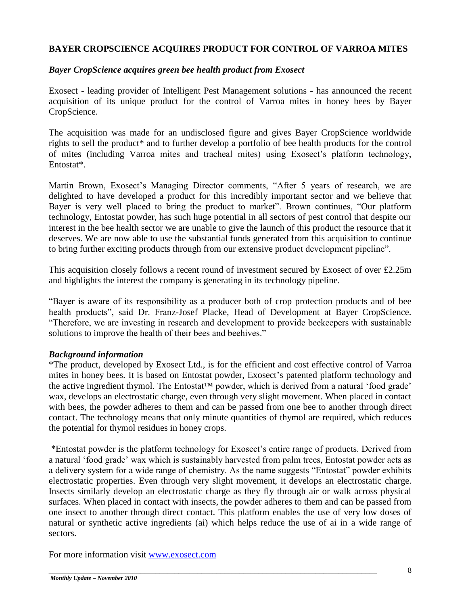### **BAYER CROPSCIENCE ACQUIRES PRODUCT FOR CONTROL OF VARROA MITES**

#### *Bayer CropScience acquires green bee health product from Exosect*

Exosect - leading provider of Intelligent Pest Management solutions - has announced the recent acquisition of its unique product for the control of Varroa mites in honey bees by Bayer CropScience.

The acquisition was made for an undisclosed figure and gives Bayer CropScience worldwide rights to sell the product\* and to further develop a portfolio of bee health products for the control of mites (including Varroa mites and tracheal mites) using Exosect's platform technology, Entostat\*.

Martin Brown, Exosect's Managing Director comments, "After 5 years of research, we are delighted to have developed a product for this incredibly important sector and we believe that Bayer is very well placed to bring the product to market". Brown continues, "Our platform technology, Entostat powder, has such huge potential in all sectors of pest control that despite our interest in the bee health sector we are unable to give the launch of this product the resource that it deserves. We are now able to use the substantial funds generated from this acquisition to continue to bring further exciting products through from our extensive product development pipeline".

This acquisition closely follows a recent round of investment secured by Exosect of over £2.25m and highlights the interest the company is generating in its technology pipeline.

"Bayer is aware of its responsibility as a producer both of crop protection products and of bee health products", said Dr. Franz-Josef Placke, Head of Development at Bayer CropScience. "Therefore, we are investing in research and development to provide beekeepers with sustainable solutions to improve the health of their bees and beehives."

#### *Background information*

\*The product, developed by Exosect Ltd., is for the efficient and cost effective control of Varroa mites in honey bees. It is based on Entostat powder, Exosect's patented platform technology and the active ingredient thymol. The Entostat<sup> $TM$ </sup> powder, which is derived from a natural 'food grade' wax, develops an electrostatic charge, even through very slight movement. When placed in contact with bees, the powder adheres to them and can be passed from one bee to another through direct contact. The technology means that only minute quantities of thymol are required, which reduces the potential for thymol residues in honey crops.

\*Entostat powder is the platform technology for Exosect"s entire range of products. Derived from a natural "food grade" wax which is sustainably harvested from palm trees, Entostat powder acts as a delivery system for a wide range of chemistry. As the name suggests "Entostat" powder exhibits electrostatic properties. Even through very slight movement, it develops an electrostatic charge. Insects similarly develop an electrostatic charge as they fly through air or walk across physical surfaces. When placed in contact with insects, the powder adheres to them and can be passed from one insect to another through direct contact. This platform enables the use of very low doses of natural or synthetic active ingredients (ai) which helps reduce the use of ai in a wide range of sectors.

\_\_\_\_\_\_\_\_\_\_\_\_\_\_\_\_\_\_\_\_\_\_\_\_\_\_\_\_\_\_\_\_\_\_\_\_\_\_\_\_\_\_\_\_\_\_\_\_\_\_\_\_\_\_\_\_\_\_\_\_\_\_\_\_\_\_\_\_\_\_\_\_\_\_\_\_\_\_\_\_\_\_\_\_\_\_

For more information visit [www.exosect.com](http://www.exosect.com/)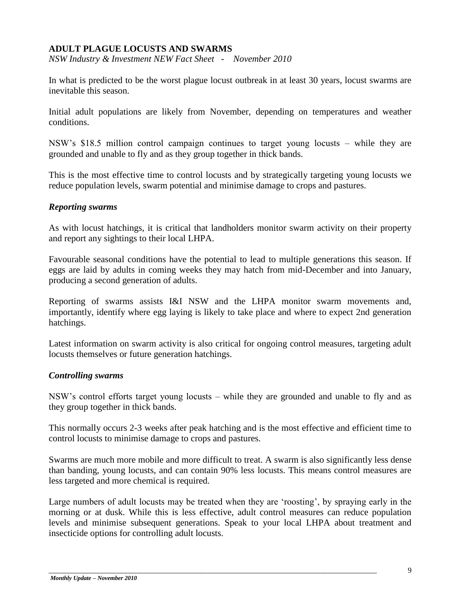#### **ADULT PLAGUE LOCUSTS AND SWARMS**

*NSW Industry & Investment NEW Fact Sheet - November 2010* 

In what is predicted to be the worst plague locust outbreak in at least 30 years, locust swarms are inevitable this season.

Initial adult populations are likely from November, depending on temperatures and weather conditions.

NSW"s \$18.5 million control campaign continues to target young locusts – while they are grounded and unable to fly and as they group together in thick bands.

This is the most effective time to control locusts and by strategically targeting young locusts we reduce population levels, swarm potential and minimise damage to crops and pastures.

#### *Reporting swarms*

As with locust hatchings, it is critical that landholders monitor swarm activity on their property and report any sightings to their local LHPA.

Favourable seasonal conditions have the potential to lead to multiple generations this season. If eggs are laid by adults in coming weeks they may hatch from mid-December and into January, producing a second generation of adults.

Reporting of swarms assists I&I NSW and the LHPA monitor swarm movements and, importantly, identify where egg laying is likely to take place and where to expect 2nd generation hatchings.

Latest information on swarm activity is also critical for ongoing control measures, targeting adult locusts themselves or future generation hatchings.

#### *Controlling swarms*

NSW"s control efforts target young locusts – while they are grounded and unable to fly and as they group together in thick bands.

This normally occurs 2-3 weeks after peak hatching and is the most effective and efficient time to control locusts to minimise damage to crops and pastures.

Swarms are much more mobile and more difficult to treat. A swarm is also significantly less dense than banding, young locusts, and can contain 90% less locusts. This means control measures are less targeted and more chemical is required.

Large numbers of adult locusts may be treated when they are "roosting", by spraying early in the morning or at dusk. While this is less effective, adult control measures can reduce population levels and minimise subsequent generations. Speak to your local LHPA about treatment and insecticide options for controlling adult locusts.